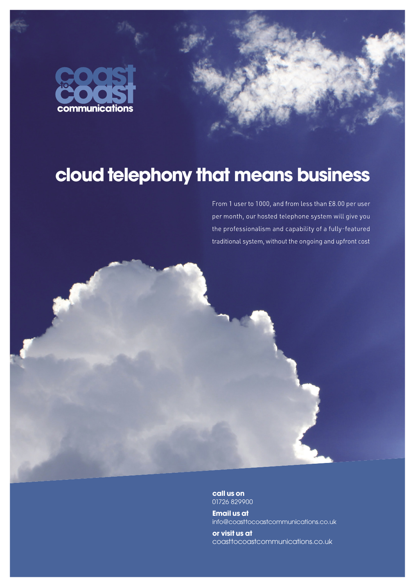



## **cloud telephony that means business**

From 1 user to 1000, and from less than £8.00 per user per month, our hosted telephone system will give you the professionalism and capability of a fully-featured traditional system, without the ongoing and upfront cost



**call us on** 01726 829900

**Email us at** info@coasttocoastcommunications.co.uk

**or visit us at** coasttocoastcommunications.co.uk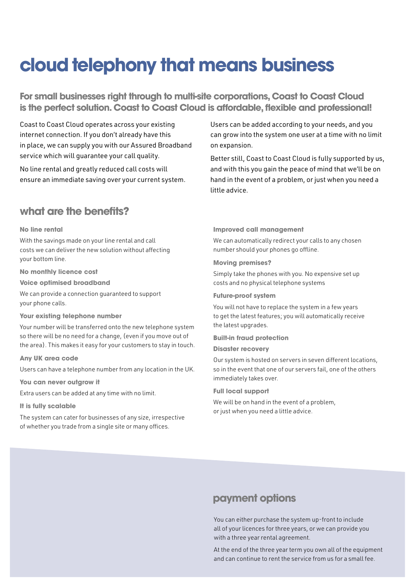# **cloud telephony that means business**

**For small businesses right through to multi-site corporations, Coast to Coast Cloud is the perfect solution. Coast to Coast Cloud is affordable, flexible and professional!**

Coast to Coast Cloud operates across your existing internet connection. If you don't already have this in place, we can supply you with our Assured Broadband service which will guarantee your call quality.

No line rental and greatly reduced call costs will ensure an immediate saving over your current system.

## **what are the benefits?**

#### **No line rental**

With the savings made on your line rental and call costs we can deliver the new solution without affecting your bottom line.

**No monthly licence cost**

**Voice optimised broadband**

We can provide a connection guaranteed to support your phone calls.

#### **Your existing telephone number**

Your number will be transferred onto the new telephone system so there will be no need for a change, (even if you move out of the area). This makes it easy for your customers to stay in touch.

**Any UK area code**

Users can have a telephone number from any location in the UK.

**You can never outgrow it**

Extra users can be added at any time with no limit.

#### **It is fully scalable**

The system can cater for businesses of any size, irrespective of whether you trade from a single site or many offices.

Users can be added according to your needs, and you can grow into the system one user at a time with no limit on expansion.

Better still, Coast to Coast Cloud is fully supported by us, and with this you gain the peace of mind that we'll be on hand in the event of a problem, or just when you need a little advice.

#### **Improved call management**

We can automatically redirect your calls to any chosen number should your phones go offline.

#### **Moving premises?**

Simply take the phones with you. No expensive set up costs and no physical telephone systems

#### **Future-proof system**

You will not have to replace the system in a few years to get the latest features; you will automatically receive the latest upgrades.

#### **Built-in fraud protection**

**Disaster recovery**

Our system is hosted on servers in seven different locations, so in the event that one of our servers fail, one of the others immediately takes over.

#### **Full local support**

We will be on hand in the event of a problem, or just when you need a little advice.

## **payment options**

You can either purchase the system up-front to include all of your licences for three years, or we can provide you with a three year rental agreement.

At the end of the three year term you own all of the equipment and can continue to rent the service from us for a small fee.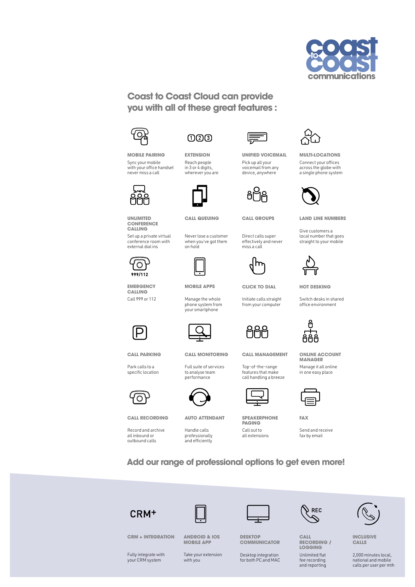

### **Coast to Coast Cloud can provide you with all of these great features :**



## $\bigcap$   $\bigcap$   $\bigcap$

**MOBILE PAIRING** Sync your mobile with your office handset never miss a call



**UNLIMITED CONFERENCE CALLING**

Set up a private virtual conference room with external dial ins



**EMERGENCY CALLING** Call 999 or 112



**CALL PARKING**

Park calls to a specific location



**CALL RECORDING**

Record and archive all inbound or outbound calls

**EXTENSION** Reach people in 3 or 4 digits, wherever you are



**CALL QUEUING**

Never lose a customer when you've got them on hold



**MOBILE APPS**

Manage the whole phone system from your smartphone



**CALL MONITORING**

Full suite of services to analyse team performance



**AUTO ATTENDANT**

Handle calls professionally and efficiently

Top-of-the-range features that make call handling a breeze

**CALL MANAGEMENT**

**UNIFIED VOICEMAIL** Pick up all your voicemail from any device, anywhere

**CALL GROUPS**

Direct calls super effectively and never miss a call

**CLICK TO DIAL** Initiate calls straight from your computer



**SPEAKERPHONE PAGING** Call out to all extensions



**MULTI-LOCATIONS** Connect your offices across the globe with a single phone system



**LAND LINE NUMBERS**

Give customers a local number that goes straight to your mobile



**HOT DESKING**

Switch desks in shared office environment



**ONLINE ACCOUNT MANAGER** Manage it all online in one easy place



**FAX**

Send and receive fax by email

**Add our range of professional options to get even more!**









**CALL RECORDING / LOGGING** Unlimited flat fee recording and reporting



**INCLUSIVE CALLS**

2,000 minutes local, national and mobile calls per user per mth

Fully integrate with your CRM system

**CRM + INTEGRATION**

Take your extension with you

**ANDROID & IOS MOBILE APP**

**DESKTOP COMMUNICATOR**

Desktop integration for both PC and MAC